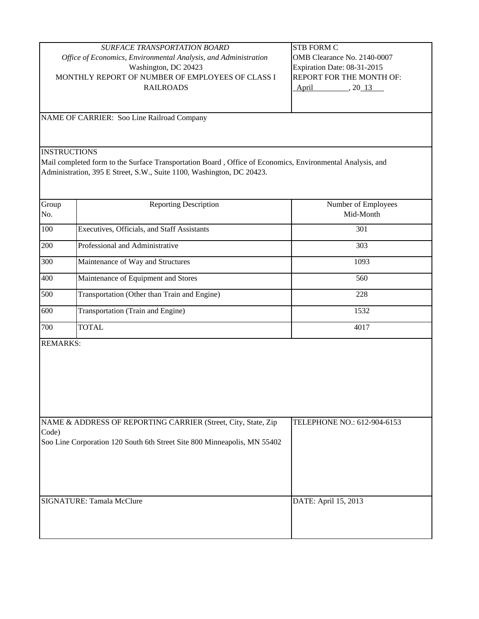| <b>SURFACE TRANSPORTATION BOARD</b>                             | <b>ISTB FORM C</b>               |
|-----------------------------------------------------------------|----------------------------------|
| Office of Economics, Environmental Analysis, and Administration | OMB Clearance No. 2140-0007      |
| Washington, DC 20423                                            | Expiration Date: 08-31-2015      |
| MONTHLY REPORT OF NUMBER OF EMPLOYEES OF CLASS I                | <b>IREPORT FOR THE MONTH OF:</b> |
| <b>RAILROADS</b>                                                | 20 13<br>April                   |
|                                                                 |                                  |

NAME OF CARRIER: Soo Line Railroad Company

**INSTRUCTIONS** 

Mail completed form to the Surface Transportation Board , Office of Economics, Environmental Analysis, and Administration, 395 E Street, S.W., Suite 1100, Washington, DC 20423.

| Group<br>No. | <b>Reporting Description</b>                 | Number of Employees<br>Mid-Month |
|--------------|----------------------------------------------|----------------------------------|
| 100          | Executives, Officials, and Staff Assistants  | 301                              |
| 200          | Professional and Administrative              | 303                              |
| 300          | Maintenance of Way and Structures            | 1093                             |
| 400          | Maintenance of Equipment and Stores          | 560                              |
| 500          | Transportation (Other than Train and Engine) | 228                              |
| 600          | Transportation (Train and Engine)            | 1532                             |
| 700          | <b>TOTAL</b>                                 | 4017                             |

REMARKS:

| NAME & ADDRESS OF REPORTING CARRIER (Street, City, State, Zip<br>Code)   | TELEPHONE NO.: 612-904-6153 |
|--------------------------------------------------------------------------|-----------------------------|
| Soo Line Corporation 120 South 6th Street Site 800 Minneapolis, MN 55402 |                             |
| <b>SIGNATURE: Tamala McClure</b>                                         | DATE: April 15, 2013        |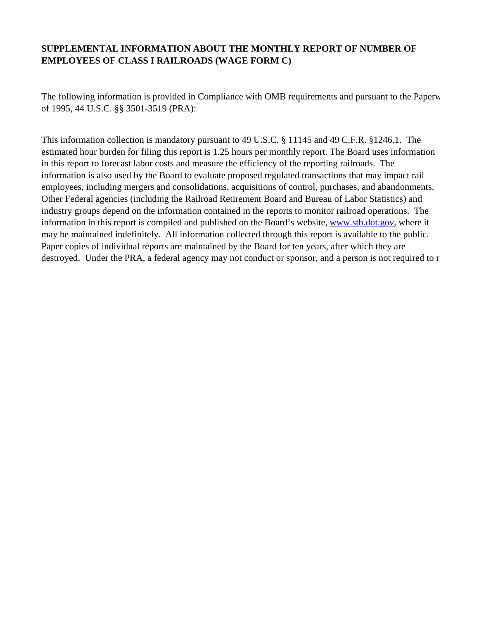## **SUPPLEMENTAL INFORMATION ABOUT THE MONTHLY REPORT OF NUMBER OF EMPLOYEES OF CLASS I RAILROADS (WAGE FORM C)**

The following information is provided in Compliance with OMB requirements and pursuant to the Paperw of 1995, 44 U.S.C. §§ 3501-3519 (PRA):

This information collection is mandatory pursuant to 49 U.S.C. § 11145 and 49 C.F.R. §1246.1. The estimated hour burden for filing this report is 1.25 hours per monthly report. The Board uses information in this report to forecast labor costs and measure the efficiency of the reporting railroads. The information is also used by the Board to evaluate proposed regulated transactions that may impact rail employees, including mergers and consolidations, acquisitions of control, purchases, and abandonments. Other Federal agencies (including the Railroad Retirement Board and Bureau of Labor Statistics) and industry groups depend on the information contained in the reports to monitor railroad operations. The information in this report is compiled and published on the Board's website, www.stb.dot.gov, where it may be maintained indefinitely. All information collected through this report is available to the public. Paper copies of individual reports are maintained by the Board for ten years, after which they are destroyed. Under the PRA, a federal agency may not conduct or sponsor, and a person is not required to r